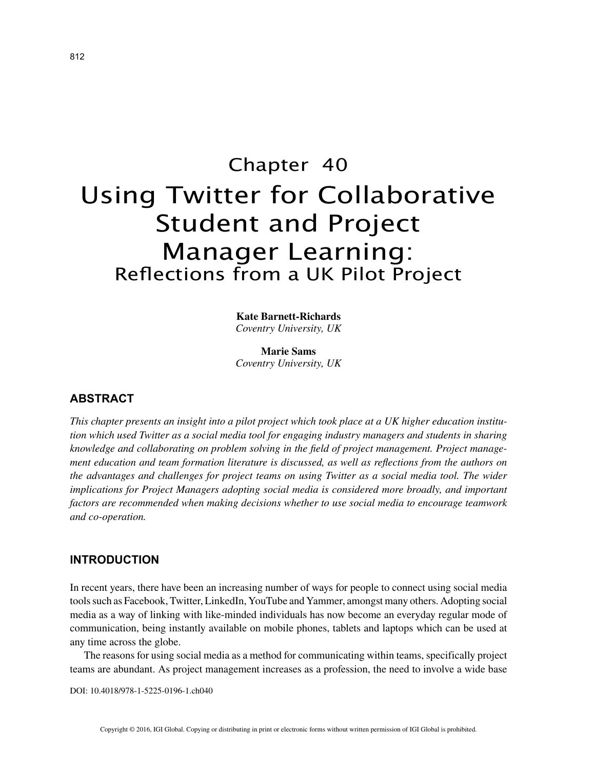# Chapter 40 Using Twitter for Collaborative Student and Project Manager Learning: Reflections from a UK Pilot Project

**Kate Barnett-Richards** *Coventry University, UK*

**Marie Sams** *Coventry University, UK*

# **ABSTRACT**

*This chapter presents an insight into a pilot project which took place at a UK higher education institution which used Twitter as a social media tool for engaging industry managers and students in sharing knowledge and collaborating on problem solving in the field of project management. Project management education and team formation literature is discussed, as well as reflections from the authors on the advantages and challenges for project teams on using Twitter as a social media tool. The wider implications for Project Managers adopting social media is considered more broadly, and important factors are recommended when making decisions whether to use social media to encourage teamwork and co-operation.*

### **INTRODUCTION**

In recent years, there have been an increasing number of ways for people to connect using social media tools such as Facebook, Twitter, LinkedIn, YouTube and Yammer, amongst many others. Adopting social media as a way of linking with like-minded individuals has now become an everyday regular mode of communication, being instantly available on mobile phones, tablets and laptops which can be used at any time across the globe.

The reasons for using social media as a method for communicating within teams, specifically project teams are abundant. As project management increases as a profession, the need to involve a wide base

DOI: 10.4018/978-1-5225-0196-1.ch040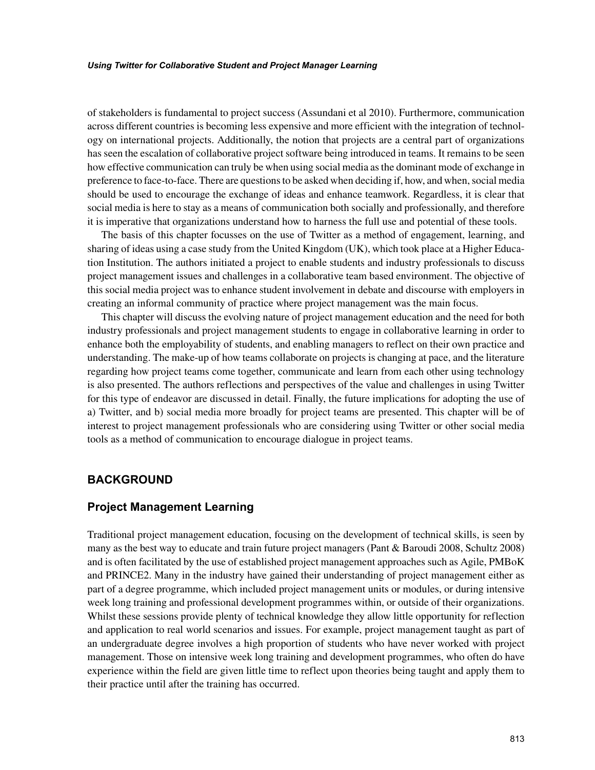of stakeholders is fundamental to project success (Assundani et al 2010). Furthermore, communication across different countries is becoming less expensive and more efficient with the integration of technology on international projects. Additionally, the notion that projects are a central part of organizations has seen the escalation of collaborative project software being introduced in teams. It remains to be seen how effective communication can truly be when using social media as the dominant mode of exchange in preference to face-to-face. There are questions to be asked when deciding if, how, and when, social media should be used to encourage the exchange of ideas and enhance teamwork. Regardless, it is clear that social media is here to stay as a means of communication both socially and professionally, and therefore it is imperative that organizations understand how to harness the full use and potential of these tools.

The basis of this chapter focusses on the use of Twitter as a method of engagement, learning, and sharing of ideas using a case study from the United Kingdom (UK), which took place at a Higher Education Institution. The authors initiated a project to enable students and industry professionals to discuss project management issues and challenges in a collaborative team based environment. The objective of this social media project was to enhance student involvement in debate and discourse with employers in creating an informal community of practice where project management was the main focus.

This chapter will discuss the evolving nature of project management education and the need for both industry professionals and project management students to engage in collaborative learning in order to enhance both the employability of students, and enabling managers to reflect on their own practice and understanding. The make-up of how teams collaborate on projects is changing at pace, and the literature regarding how project teams come together, communicate and learn from each other using technology is also presented. The authors reflections and perspectives of the value and challenges in using Twitter for this type of endeavor are discussed in detail. Finally, the future implications for adopting the use of a) Twitter, and b) social media more broadly for project teams are presented. This chapter will be of interest to project management professionals who are considering using Twitter or other social media tools as a method of communication to encourage dialogue in project teams.

# **BACKGROUND**

## **Project Management Learning**

Traditional project management education, focusing on the development of technical skills, is seen by many as the best way to educate and train future project managers (Pant & Baroudi 2008, Schultz 2008) and is often facilitated by the use of established project management approaches such as Agile, PMBoK and PRINCE2. Many in the industry have gained their understanding of project management either as part of a degree programme, which included project management units or modules, or during intensive week long training and professional development programmes within, or outside of their organizations. Whilst these sessions provide plenty of technical knowledge they allow little opportunity for reflection and application to real world scenarios and issues. For example, project management taught as part of an undergraduate degree involves a high proportion of students who have never worked with project management. Those on intensive week long training and development programmes, who often do have experience within the field are given little time to reflect upon theories being taught and apply them to their practice until after the training has occurred.